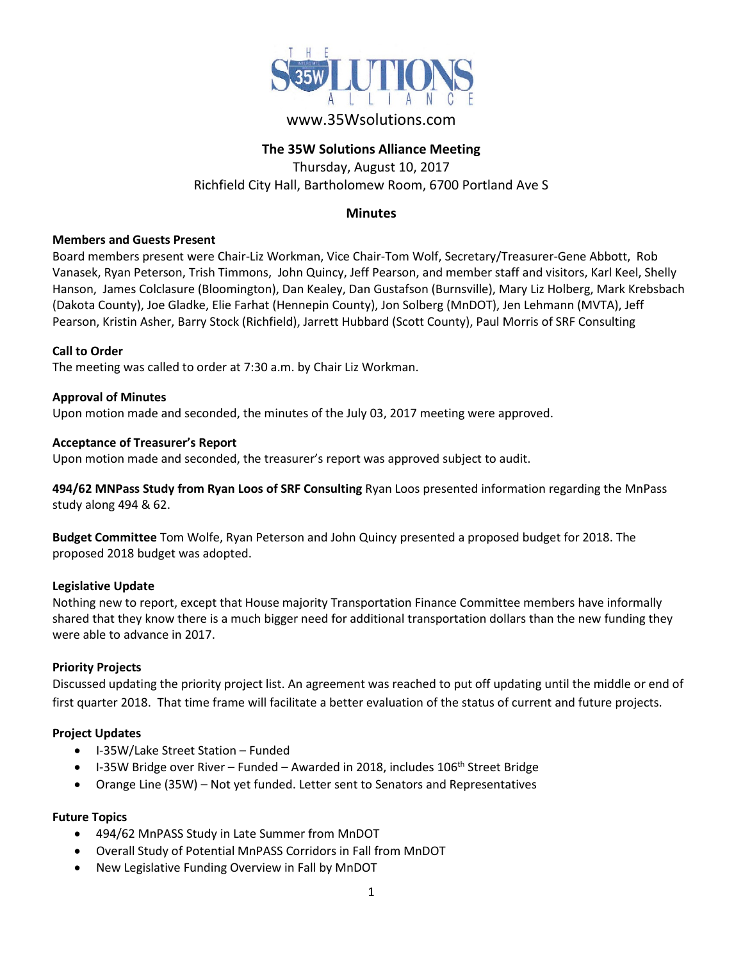

# www.35Wsolutions.com

# **The 35W Solutions Alliance Meeting**

Thursday, August 10, 2017 Richfield City Hall, Bartholomew Room, 6700 Portland Ave S

## **Minutes**

## **Members and Guests Present**

Board members present were Chair-Liz Workman, Vice Chair-Tom Wolf, Secretary/Treasurer-Gene Abbott, Rob Vanasek, Ryan Peterson, Trish Timmons, John Quincy, Jeff Pearson, and member staff and visitors, Karl Keel, Shelly Hanson, James Colclasure (Bloomington), Dan Kealey, Dan Gustafson (Burnsville), Mary Liz Holberg, Mark Krebsbach (Dakota County), Joe Gladke, Elie Farhat (Hennepin County), Jon Solberg (MnDOT), Jen Lehmann (MVTA), Jeff Pearson, Kristin Asher, Barry Stock (Richfield), Jarrett Hubbard (Scott County), Paul Morris of SRF Consulting

## **Call to Order**

The meeting was called to order at 7:30 a.m. by Chair Liz Workman.

## **Approval of Minutes**

Upon motion made and seconded, the minutes of the July 03, 2017 meeting were approved.

## **Acceptance of Treasurer's Report**

Upon motion made and seconded, the treasurer's report was approved subject to audit.

**494/62 MNPass Study from Ryan Loos of SRF Consulting** Ryan Loos presented information regarding the MnPass study along 494 & 62.

**Budget Committee** Tom Wolfe, Ryan Peterson and John Quincy presented a proposed budget for 2018. The proposed 2018 budget was adopted.

#### **Legislative Update**

Nothing new to report, except that House majority Transportation Finance Committee members have informally shared that they know there is a much bigger need for additional transportation dollars than the new funding they were able to advance in 2017.

## **Priority Projects**

Discussed updating the priority project list. An agreement was reached to put off updating until the middle or end of first quarter 2018. That time frame will facilitate a better evaluation of the status of current and future projects.

## **Project Updates**

- I-35W/Lake Street Station Funded
- I-35W Bridge over River Funded Awarded in 2018, includes 106<sup>th</sup> Street Bridge
- Orange Line (35W) Not yet funded. Letter sent to Senators and Representatives

## **Future Topics**

- 494/62 MnPASS Study in Late Summer from MnDOT
- Overall Study of Potential MnPASS Corridors in Fall from MnDOT
- New Legislative Funding Overview in Fall by MnDOT